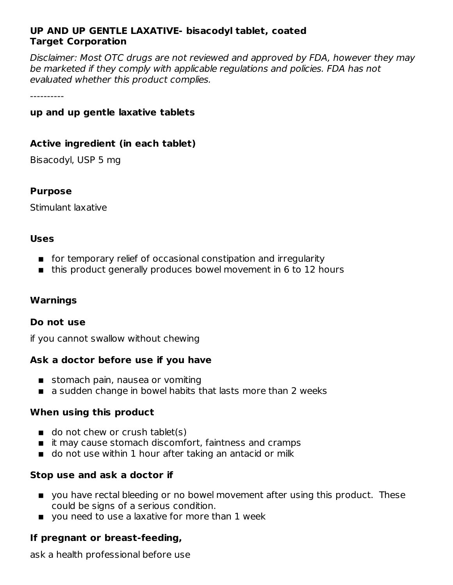### **UP AND UP GENTLE LAXATIVE- bisacodyl tablet, coated Target Corporation**

Disclaimer: Most OTC drugs are not reviewed and approved by FDA, however they may be marketed if they comply with applicable regulations and policies. FDA has not evaluated whether this product complies.

----------

#### **up and up gentle laxative tablets**

#### **Active ingredient (in each tablet)**

Bisacodyl, USP 5 mg

#### **Purpose**

Stimulant laxative

#### **Uses**

- for temporary relief of occasional constipation and irregularity
- this product generally produces bowel movement in 6 to 12 hours

### **Warnings**

#### **Do not use**

if you cannot swallow without chewing

### **Ask a doctor before use if you have**

- stomach pain, nausea or vomiting
- a sudden change in bowel habits that lasts more than 2 weeks

#### **When using this product**

- do not chew or crush tablet(s)
- $\blacksquare$  it may cause stomach discomfort, faintness and cramps
- do not use within 1 hour after taking an antacid or milk

### **Stop use and ask a doctor if**

- you have rectal bleeding or no bowel movement after using this product. These could be signs of a serious condition.
- you need to use a laxative for more than 1 week

### **If pregnant or breast-feeding,**

ask a health professional before use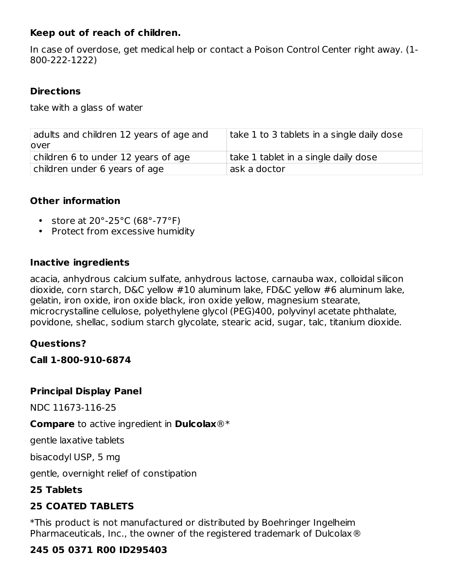## **Keep out of reach of children.**

In case of overdose, get medical help or contact a Poison Control Center right away. (1- 800-222-1222)

## **Directions**

take with a glass of water

| adults and children 12 years of age and | take 1 to 3 tablets in a single daily dose |
|-----------------------------------------|--------------------------------------------|
| lover                                   |                                            |
| children 6 to under 12 years of age     | take 1 tablet in a single daily dose       |
| children under 6 years of age           | ask a doctor                               |

## **Other information**

- store at 20°-25°C (68°-77°F)
- Protect from excessive humidity

### **Inactive ingredients**

acacia, anhydrous calcium sulfate, anhydrous lactose, carnauba wax, colloidal silicon dioxide, corn starch, D&C yellow #10 aluminum lake, FD&C yellow #6 aluminum lake, gelatin, iron oxide, iron oxide black, iron oxide yellow, magnesium stearate, microcrystalline cellulose, polyethylene glycol (PEG)400, polyvinyl acetate phthalate, povidone, shellac, sodium starch glycolate, stearic acid, sugar, talc, titanium dioxide.

## **Questions?**

**Call 1-800-910-6874**

### **Principal Display Panel**

NDC 11673-116-25

**Compare** to active ingredient in **Dulcolax**®\*

gentle laxative tablets

bisacodyl USP, 5 mg

gentle, overnight relief of constipation

## **25 Tablets**

# **25 COATED TABLETS**

\*This product is not manufactured or distributed by Boehringer Ingelheim Pharmaceuticals, Inc., the owner of the registered trademark of Dulcolax®

## **245 05 0371 R00 ID295403**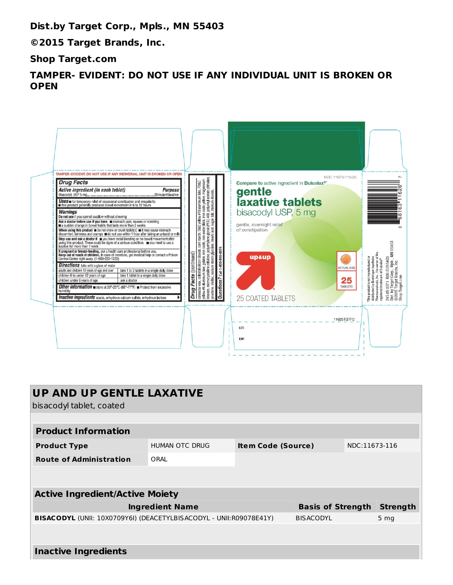**Dist.by Target Corp., Mpls., MN 55403**

**©2015 Target Brands, Inc.**

**Shop Target.com**

**TAMPER- EVIDENT: DO NOT USE IF ANY INDIVIDUAL UNIT IS BROKEN OR OPEN**

| TAMPER-EVIDENT: DO NOT USE IF ANY INDIVIDUAL UNIT IS BROKEN OR OPEN<br><b>Drug Facts</b><br>Active ingredient (in each tablet)<br><b>Purpose</b><br>Bisacodyl, USP 5 mg.<br>Stimulant laxative<br>USES in for temporary relief of occasional constipation and irregularity.<br>In this product generally produces bowel movement in 6 to 12 hours<br><b>Warnings</b><br>Do not use if you cannot swallow without chewing<br>Ask a doctor before use if you have <b>m</b> stomach pain, nausea or vomiting <b>m</b> a sudden change in bowel habits that lasts more than 2 weeks<br>When using this product $\blacksquare$ do not chew or crush tablet(s) $\blacksquare$ it may cause stomach discomfort, faintness and cramps $\blacksquare$ do not use within 1 hour after taking an antacid or milk<br>Stop use and ask a doctor if you have rectal bleeding or no bowel movement after<br>using this product. These could be signs of a serious condition. www.need to use a<br>laxative for more than 1 week<br>If pregnant or breast-feeding, ask a health care professional before use.<br>Keep out of reach of children. In case of overdose, get medical help or contact a Poison<br>Control Center right away. (1-800-222-1222)<br><b>Directions</b> take with a glass of water<br>adults and children 12 years of age and over<br>take 1 to 3 tablets in a single daily dose<br>children 6 to under 12 years of age<br>take 1 tablet in a single daily dose<br>children under 6 years of age<br>ask a doctor<br>Other information store at 20°-25°C (68°-77°F) Protect from excessive<br>humidity<br>Inactive ingredients acacia, anhydrous calcium sulfate, anhydrous lactose, | yellow #6 aluminum lake, gelatin, iron oxide, iron oxide black, iron oxide yellow, magnesium<br>stearate, microcrystalline callulose, polyethylene glycol (PEG) 400, polyvinyl acetate pritriadate,<br>povidone, shellec, sodium sta<br>D&C yellow #10 aluminum lake, FD&C<br>corn starch,<br>carnauba wax, colloidal silicon dioxide, corn :<br>yellow #6 aluminum lake, gelatin, iron oxide,<br>Questions? Call 1-800-910-6874<br>Drug Facts (continued) | NDC 11673-116-25<br>Compare to active ingredient in Dulcolax®<br>gentle<br>laxative tablets<br>bisacodyl USP, 5 mg<br>gentle, overnight relief<br>of constipation<br><b>upaup</b><br><b>ACTUAL SIZE</b><br>25<br><b>TABLETS</b><br>25 COATED TABLETS<br>11625TGTFC<br>LOT: | MN 55403<br>Pharmaceuticals, Inc., the owner of th<br>registered trademark of Dulcolax®<br>This product is not manufactured or<br>R00 ID295403<br>distributed by Boehringer Ingelheim<br>245 05 0371 ROD ID295403<br>Dist. by Target Corp., Mpls., M<br>©2015 Target Brands, Inc.<br>Shop Target.com |
|-------------------------------------------------------------------------------------------------------------------------------------------------------------------------------------------------------------------------------------------------------------------------------------------------------------------------------------------------------------------------------------------------------------------------------------------------------------------------------------------------------------------------------------------------------------------------------------------------------------------------------------------------------------------------------------------------------------------------------------------------------------------------------------------------------------------------------------------------------------------------------------------------------------------------------------------------------------------------------------------------------------------------------------------------------------------------------------------------------------------------------------------------------------------------------------------------------------------------------------------------------------------------------------------------------------------------------------------------------------------------------------------------------------------------------------------------------------------------------------------------------------------------------------------------------------------------------------------------------------------------------------------------------------------------------------------|------------------------------------------------------------------------------------------------------------------------------------------------------------------------------------------------------------------------------------------------------------------------------------------------------------------------------------------------------------------------------------------------------------------------------------------------------------|----------------------------------------------------------------------------------------------------------------------------------------------------------------------------------------------------------------------------------------------------------------------------|------------------------------------------------------------------------------------------------------------------------------------------------------------------------------------------------------------------------------------------------------------------------------------------------------|
|-------------------------------------------------------------------------------------------------------------------------------------------------------------------------------------------------------------------------------------------------------------------------------------------------------------------------------------------------------------------------------------------------------------------------------------------------------------------------------------------------------------------------------------------------------------------------------------------------------------------------------------------------------------------------------------------------------------------------------------------------------------------------------------------------------------------------------------------------------------------------------------------------------------------------------------------------------------------------------------------------------------------------------------------------------------------------------------------------------------------------------------------------------------------------------------------------------------------------------------------------------------------------------------------------------------------------------------------------------------------------------------------------------------------------------------------------------------------------------------------------------------------------------------------------------------------------------------------------------------------------------------------------------------------------------------------|------------------------------------------------------------------------------------------------------------------------------------------------------------------------------------------------------------------------------------------------------------------------------------------------------------------------------------------------------------------------------------------------------------------------------------------------------------|----------------------------------------------------------------------------------------------------------------------------------------------------------------------------------------------------------------------------------------------------------------------------|------------------------------------------------------------------------------------------------------------------------------------------------------------------------------------------------------------------------------------------------------------------------------------------------------|

| <b>UP AND UP GENTLE LAXATIVE</b><br>bisacodyl tablet, coated       |                |                           |                          |               |                 |  |  |
|--------------------------------------------------------------------|----------------|---------------------------|--------------------------|---------------|-----------------|--|--|
|                                                                    |                |                           |                          |               |                 |  |  |
| <b>Product Information</b>                                         |                |                           |                          |               |                 |  |  |
| <b>Product Type</b>                                                | HUMAN OTC DRUG | <b>Item Code (Source)</b> |                          | NDC:11673-116 |                 |  |  |
| <b>Route of Administration</b>                                     | ORAL           |                           |                          |               |                 |  |  |
|                                                                    |                |                           |                          |               |                 |  |  |
| <b>Active Ingredient/Active Moiety</b>                             |                |                           |                          |               |                 |  |  |
| <b>Ingredient Name</b>                                             |                |                           | <b>Basis of Strength</b> |               | <b>Strength</b> |  |  |
| BISACODYL (UNII: 10X0709Y6I) (DEACETYLBISACODYL - UNII:R09078E41Y) |                |                           | <b>BISACODYL</b>         |               | 5 <sub>mg</sub> |  |  |
|                                                                    |                |                           |                          |               |                 |  |  |
| <b>Inactive Ingredients</b>                                        |                |                           |                          |               |                 |  |  |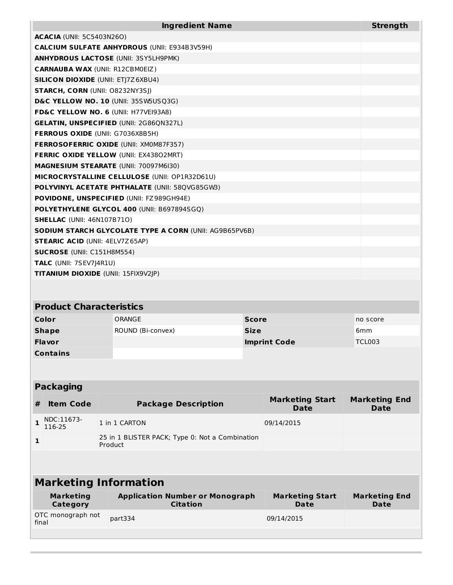| <b>Ingredient Name</b>                                            |                                                                                                             |                     |                                                                              | <b>Strength</b>                              |  |
|-------------------------------------------------------------------|-------------------------------------------------------------------------------------------------------------|---------------------|------------------------------------------------------------------------------|----------------------------------------------|--|
| <b>ACACIA</b> (UNII: 5C5403N26O)                                  |                                                                                                             |                     |                                                                              |                                              |  |
|                                                                   | <b>CALCIUM SULFATE ANHYDROUS (UNII: E934B3V59H)</b>                                                         |                     |                                                                              |                                              |  |
|                                                                   | <b>ANHYDROUS LACTOSE (UNII: 3SY5LH9PMK)</b>                                                                 |                     |                                                                              |                                              |  |
| <b>CARNAUBA WAX (UNII: R12CBM0EIZ)</b>                            |                                                                                                             |                     |                                                                              |                                              |  |
| <b>SILICON DIOXIDE (UNII: ETJ7Z6XBU4)</b>                         |                                                                                                             |                     |                                                                              |                                              |  |
| <b>STARCH, CORN (UNII: O8232NY3SJ)</b>                            |                                                                                                             |                     |                                                                              |                                              |  |
|                                                                   | D&C YELLOW NO. 10 (UNII: 35SW5USQ3G)                                                                        |                     |                                                                              |                                              |  |
|                                                                   | FD&C YELLOW NO. 6 (UNII: H77VEI93A8)                                                                        |                     |                                                                              |                                              |  |
|                                                                   | <b>GELATIN, UNSPECIFIED (UNII: 2G86QN327L)</b>                                                              |                     |                                                                              |                                              |  |
| FERROUS OXIDE (UNII: G7036X8B5H)                                  |                                                                                                             |                     |                                                                              |                                              |  |
|                                                                   | <b>FERROSOFERRIC OXIDE (UNII: XM0M87F357)</b>                                                               |                     |                                                                              |                                              |  |
|                                                                   | <b>FERRIC OXIDE YELLOW (UNII: EX43802MRT)</b>                                                               |                     |                                                                              |                                              |  |
|                                                                   | MAGNESIUM STEARATE (UNII: 70097M6I30)                                                                       |                     |                                                                              |                                              |  |
|                                                                   | MICROCRYSTALLINE CELLULOSE (UNII: OP1R32D61U)                                                               |                     |                                                                              |                                              |  |
|                                                                   | <b>POLYVINYL ACETATE PHTHALATE (UNII: 58QVG85GW3)</b>                                                       |                     |                                                                              |                                              |  |
|                                                                   | POVIDONE, UNSPECIFIED (UNII: FZ989GH94E)                                                                    |                     |                                                                              |                                              |  |
|                                                                   | POLYETHYLENE GLYCOL 400 (UNII: B697894SGQ)                                                                  |                     |                                                                              |                                              |  |
| <b>SHELLAC (UNII: 46N107B71O)</b>                                 |                                                                                                             |                     |                                                                              |                                              |  |
|                                                                   | <b>SODIUM STARCH GLYCOLATE TYPE A CORN (UNII: AG9B65PV6B)</b>                                               |                     |                                                                              |                                              |  |
| <b>STEARIC ACID (UNII: 4ELV7Z65AP)</b>                            |                                                                                                             |                     |                                                                              |                                              |  |
| <b>SUCROSE</b> (UNII: C151H8M554)                                 |                                                                                                             |                     |                                                                              |                                              |  |
| TALC (UNII: 7SEV7J4R1U)                                           |                                                                                                             |                     |                                                                              |                                              |  |
| <b>TITANIUM DIOXIDE (UNII: 15FIX9V2JP)</b>                        |                                                                                                             |                     |                                                                              |                                              |  |
|                                                                   |                                                                                                             |                     |                                                                              |                                              |  |
|                                                                   |                                                                                                             |                     |                                                                              |                                              |  |
| <b>Product Characteristics</b>                                    |                                                                                                             |                     |                                                                              |                                              |  |
| Color                                                             | ORANGE                                                                                                      | <b>Score</b>        |                                                                              | no score                                     |  |
| <b>Shape</b>                                                      | ROUND (Bi-convex)                                                                                           | <b>Size</b>         |                                                                              | 6 <sub>mm</sub>                              |  |
| Flavor                                                            |                                                                                                             | <b>Imprint Code</b> |                                                                              | <b>TCL003</b>                                |  |
| <b>Contains</b>                                                   |                                                                                                             |                     |                                                                              |                                              |  |
|                                                                   |                                                                                                             |                     |                                                                              |                                              |  |
|                                                                   |                                                                                                             |                     |                                                                              |                                              |  |
| <b>Packaging</b>                                                  |                                                                                                             |                     |                                                                              |                                              |  |
|                                                                   |                                                                                                             |                     |                                                                              |                                              |  |
| #                                                                 |                                                                                                             |                     | <b>Date</b>                                                                  | <b>Date</b>                                  |  |
|                                                                   |                                                                                                             |                     |                                                                              |                                              |  |
| 116-25                                                            |                                                                                                             |                     |                                                                              |                                              |  |
| 1                                                                 | 25 in 1 BLISTER PACK; Type 0: Not a Combination                                                             |                     |                                                                              |                                              |  |
|                                                                   |                                                                                                             |                     |                                                                              |                                              |  |
|                                                                   |                                                                                                             |                     |                                                                              |                                              |  |
|                                                                   |                                                                                                             |                     |                                                                              |                                              |  |
| <b>Marketing Information</b>                                      |                                                                                                             |                     |                                                                              |                                              |  |
|                                                                   |                                                                                                             |                     |                                                                              |                                              |  |
| <b>Category</b>                                                   | <b>Citation</b>                                                                                             |                     | Date                                                                         | Date                                         |  |
| OTC monograph not                                                 |                                                                                                             |                     |                                                                              |                                              |  |
|                                                                   |                                                                                                             |                     |                                                                              |                                              |  |
| final                                                             |                                                                                                             |                     |                                                                              |                                              |  |
| <b>Item Code</b><br>NDC:11673-<br>$\mathbf 1$<br><b>Marketing</b> | <b>Package Description</b><br>1 in 1 CARTON<br>Product<br><b>Application Number or Monograph</b><br>part334 |                     | <b>Marketing Start</b><br>09/14/2015<br><b>Marketing Start</b><br>09/14/2015 | <b>Marketing End</b><br><b>Marketing End</b> |  |